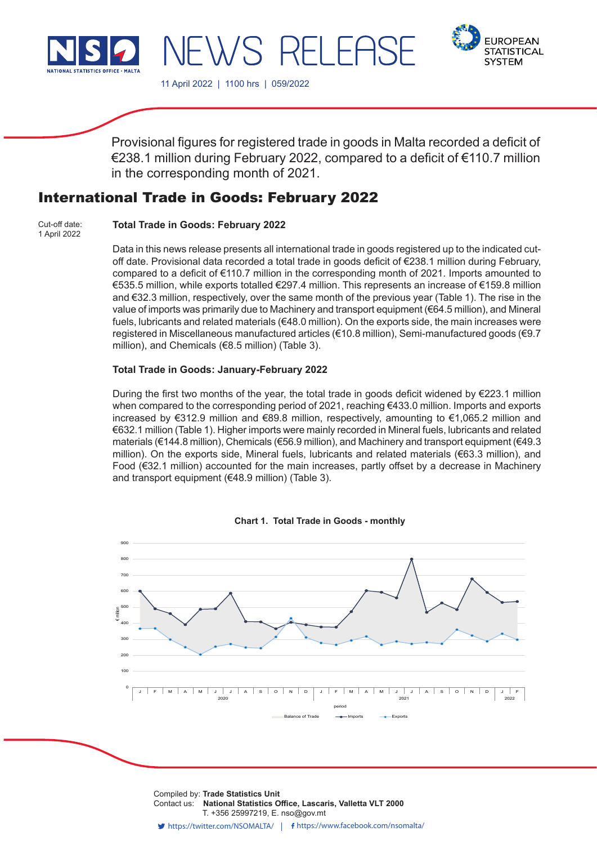

WS RELEE



11 April 2022 | 1100 hrs | 059/2022

Provisional figures for registered trade in goods in Malta recorded a deficit of €238.1 million during February 2022, compared to a deficit of €110.7 million in the corresponding month of 2021.

# International Trade in Goods: February 2022

**Total Trade in Goods: February 2022** Cut-off date: 1 April 2022

> Data in this news release presents all international trade in goods registered up to the indicated cutoff date. Provisional data recorded a total trade in goods deficit of €238.1 million during February, compared to a deficit of €110.7 million in the corresponding month of 2021. Imports amounted to €535.5 million, while exports totalled €297.4 million. This represents an increase of €159.8 million and €32.3 million, respectively, over the same month of the previous year (Table 1). The rise in the value of imports was primarily due to Machinery and transport equipment (€64.5 million), and Mineral fuels, lubricants and related materials (€48.0 million). On the exports side, the main increases were registered in Miscellaneous manufactured articles (€10.8 million), Semi-manufactured goods (€9.7 million), and Chemicals (€8.5 million) (Table 3).

## **Total Trade in Goods: January-February 2022**

During the first two months of the year, the total trade in goods deficit widened by  $\epsilon$ 223.1 million when compared to the corresponding period of 2021, reaching €433.0 million. Imports and exports increased by €312.9 million and €89.8 million, respectively, amounting to €1,065.2 million and €632.1 million (Table 1). Higher imports were mainly recorded in Mineral fuels, lubricants and related materials (€144.8 million), Chemicals (€56.9 million), and Machinery and transport equipment (€49.3 million). On the exports side, Mineral fuels, lubricants and related materials (€63.3 million), and Food (€32.1 million) accounted for the main increases, partly offset by a decrease in Machinery and transport equipment (€48.9 million) (Table 3).



**Chart 1. Total Trade in Goods - monthly**

Compiled by: **Trade Statistics Unit**<br>Compiled by: **Trade Statistics Unit** T. +356 25997219, E. nso@gov.mt Contact us: **National Statistics Office, Lascaris, Valletta VLT 2000**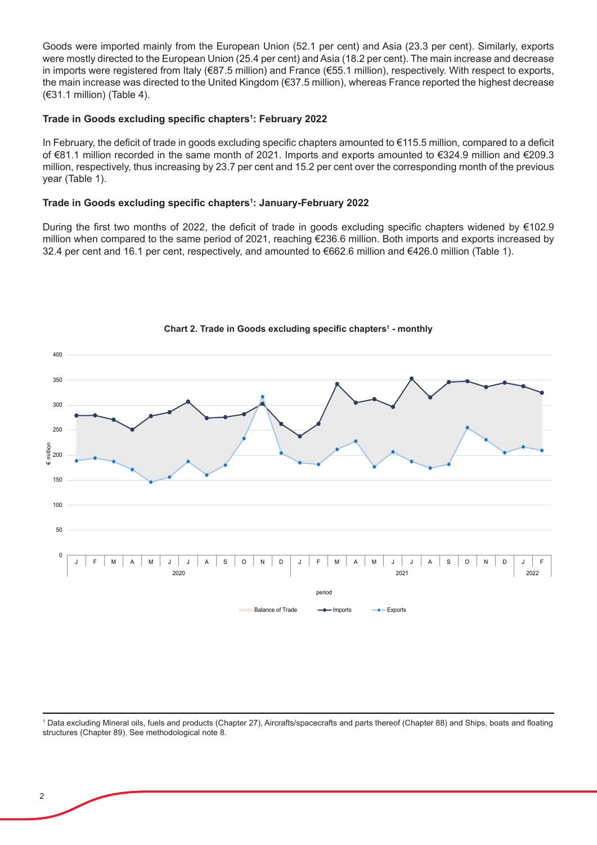Goods were imported mainly from the European Union (52.1 per cent) and Asia (23.3 per cent). Similarly, exports were mostly directed to the European Union (25.4 per cent) and Asia (18.2 per cent). The main increase and decrease in imports were registered from Italy (€87.5 million) and France (€55.1 million), respectively. With respect to exports, the main increase was directed to the United Kingdom (€37.5 million), whereas France reported the highest decrease (€31.1 million) (Table 4).

# **Trade in Goods excluding specific chapters<sup>1</sup> : February 2022**

In February, the deficit of trade in goods excluding specific chapters amounted to €115.5 million, compared to a deficit of €81.1 million recorded in the same month of 2021. Imports and exports amounted to €324.9 million and €209.3 million, respectively, thus increasing by 23.7 per cent and 15.2 per cent over the corresponding month of the previous year (Table 1).

## **Trade in Goods excluding specific chapters<sup>1</sup> : January-February 2022**

During the first two months of 2022, the deficit of trade in goods excluding specific chapters widened by €102.9 million when compared to the same period of 2021, reaching €236.6 million. Both imports and exports increased by 32.4 per cent and 16.1 per cent, respectively, and amounted to €662.6 million and €426.0 million (Table 1).



**Chart 2. Trade in Goods excluding specific chapters<sup>1</sup> - monthly**

<sup>1</sup> Data excluding Mineral oils, fuels and products (Chapter 27), Aircrafts/spacecrafts and parts thereof (Chapter 88) and Ships, boats and floating structures (Chapter 89). See methodological note 8.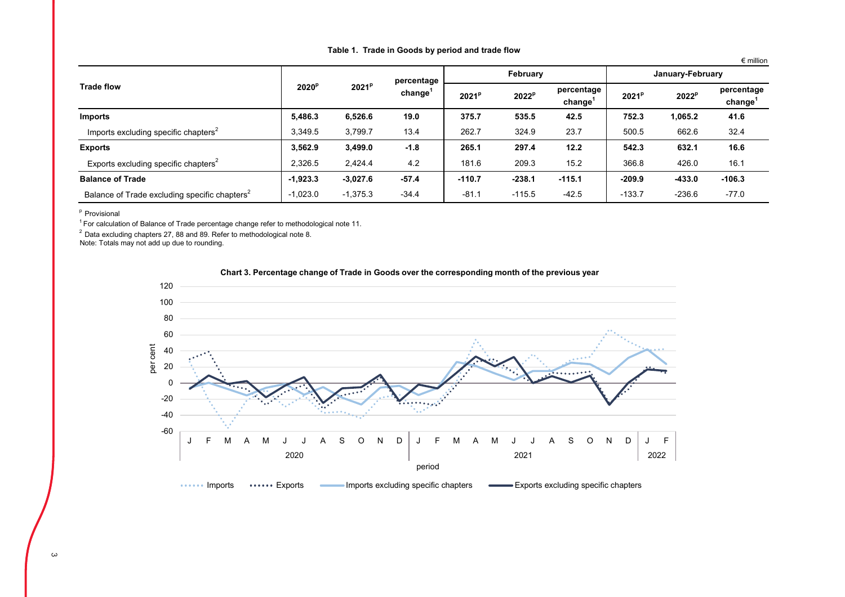| Table 1. Trade in Goods by period and trade flow |
|--------------------------------------------------|
|--------------------------------------------------|

€ million

|                                                           |                   | 2021 <sup>p</sup> | percentage<br>change <sup>'</sup> |          | February          |                                   | January-February  |                   |                      |  |
|-----------------------------------------------------------|-------------------|-------------------|-----------------------------------|----------|-------------------|-----------------------------------|-------------------|-------------------|----------------------|--|
| <b>Trade flow</b>                                         | 2020 <sup>p</sup> |                   |                                   | $2021^p$ | 2022 <sup>p</sup> | percentage<br>change <sup>'</sup> | 2021 <sup>p</sup> | 2022 <sup>p</sup> | percentage<br>change |  |
| <b>Imports</b>                                            | 5.486.3           | 6,526.6           | 19.0                              | 375.7    | 535.5             | 42.5                              | 752.3             | 1.065.2           | 41.6                 |  |
| Imports excluding specific chapters <sup>2</sup>          | 3.349.5           | 3.799.7           | 13.4                              | 262.7    | 324.9             | 23.7                              | 500.5             | 662.6             | 32.4                 |  |
| <b>Exports</b>                                            | 3.562.9           | 3,499.0           | $-1.8$                            | 265.1    | 297.4             | 12.2                              | 542.3             | 632.1             | 16.6                 |  |
| Exports excluding specific chapters <sup>2</sup>          | 2,326.5           | 2,424.4           | 4.2                               | 181.6    | 209.3             | 15.2                              | 366.8             | 426.0             | 16.1                 |  |
| <b>Balance of Trade</b>                                   | $-1.923.3$        | $-3,027.6$        | $-57.4$                           | $-110.7$ | $-238.1$          | $-115.1$                          | $-209.9$          | $-433.0$          | $-106.3$             |  |
| Balance of Trade excluding specific chapters <sup>2</sup> | $-1,023.0$        | $-1,375.3$        | $-34.4$                           | $-81.1$  | $-115.5$          | $-42.5$                           | $-133.7$          | $-236.6$          | $-77.0$              |  |

<sup>p</sup> Provisional

 $1$  For calculation of Balance of Trade percentage change refer to methodological note 11.

2 Data excluding chapters 27, 88 and 89. Refer to methodological note 8.

Note: Totals may not add up due to rounding.



**Chart 3. Percentage change of Trade in Goods over the corresponding month of the previous year**

 $\omega$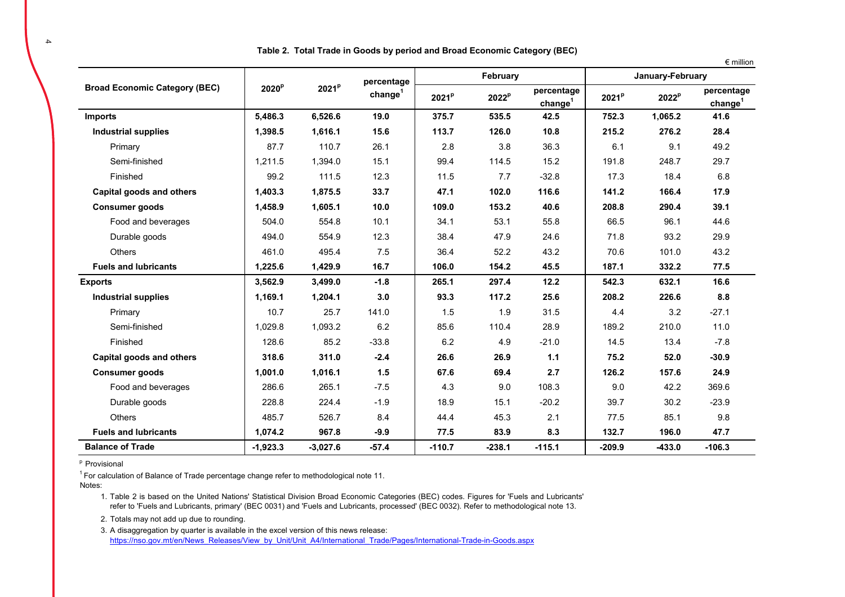|                                      |                   |                   |                     |                   |                   |                                   |                   |                   | $\epsilon$ million                |
|--------------------------------------|-------------------|-------------------|---------------------|-------------------|-------------------|-----------------------------------|-------------------|-------------------|-----------------------------------|
|                                      |                   |                   | percentage          |                   | February          |                                   |                   | January-February  |                                   |
| <b>Broad Economic Category (BEC)</b> | 2020 <sup>p</sup> | 2021 <sup>p</sup> | change <sup>1</sup> | 2021 <sup>p</sup> | 2022 <sup>p</sup> | percentage<br>change <sup>1</sup> | 2021 <sup>p</sup> | 2022 <sup>p</sup> | percentage<br>change <sup>1</sup> |
| Imports                              | 5,486.3           | 6,526.6           | 19.0                | 375.7             | 535.5             | 42.5                              | 752.3             | 1,065.2           | 41.6                              |
| <b>Industrial supplies</b>           | 1,398.5           | 1,616.1           | 15.6                | 113.7             | 126.0             | 10.8                              | 215.2             | 276.2             | 28.4                              |
| Primary                              | 87.7              | 110.7             | 26.1                | 2.8               | 3.8               | 36.3                              | 6.1               | 9.1               | 49.2                              |
| Semi-finished                        | 1.211.5           | 1,394.0           | 15.1                | 99.4              | 114.5             | 15.2                              | 191.8             | 248.7             | 29.7                              |
| Finished                             | 99.2              | 111.5             | 12.3                | 11.5              | 7.7               | $-32.8$                           | 17.3              | 18.4              | 6.8                               |
| Capital goods and others             | 1.403.3           | 1.875.5           | 33.7                | 47.1              | 102.0             | 116.6                             | 141.2             | 166.4             | 17.9                              |
| <b>Consumer goods</b>                | 1,458.9           | 1,605.1           | 10.0                | 109.0             | 153.2             | 40.6                              | 208.8             | 290.4             | 39.1                              |
| Food and beverages                   | 504.0             | 554.8             | 10.1                | 34.1              | 53.1              | 55.8                              | 66.5              | 96.1              | 44.6                              |
| Durable goods                        | 494.0             | 554.9             | 12.3                | 38.4              | 47.9              | 24.6                              | 71.8              | 93.2              | 29.9                              |
| <b>Others</b>                        | 461.0             | 495.4             | 7.5                 | 36.4              | 52.2              | 43.2                              | 70.6              | 101.0             | 43.2                              |
| <b>Fuels and lubricants</b>          | 1,225.6           | 1,429.9           | 16.7                | 106.0             | 154.2             | 45.5                              | 187.1             | 332.2             | 77.5                              |
| <b>Exports</b>                       | 3,562.9           | 3,499.0           | $-1.8$              | 265.1             | 297.4             | 12.2                              | 542.3             | 632.1             | 16.6                              |
| <b>Industrial supplies</b>           | 1,169.1           | 1,204.1           | 3.0                 | 93.3              | 117.2             | 25.6                              | 208.2             | 226.6             | 8.8                               |
| Primary                              | 10.7              | 25.7              | 141.0               | 1.5               | 1.9               | 31.5                              | 4.4               | 3.2               | $-27.1$                           |
| Semi-finished                        | 1,029.8           | 1,093.2           | 6.2                 | 85.6              | 110.4             | 28.9                              | 189.2             | 210.0             | 11.0                              |
| Finished                             | 128.6             | 85.2              | $-33.8$             | 6.2               | 4.9               | $-21.0$                           | 14.5              | 13.4              | $-7.8$                            |
| Capital goods and others             | 318.6             | 311.0             | $-2.4$              | 26.6              | 26.9              | 1.1                               | 75.2              | 52.0              | $-30.9$                           |
| <b>Consumer goods</b>                | 1,001.0           | 1,016.1           | 1.5                 | 67.6              | 69.4              | 2.7                               | 126.2             | 157.6             | 24.9                              |
| Food and beverages                   | 286.6             | 265.1             | $-7.5$              | 4.3               | 9.0               | 108.3                             | 9.0               | 42.2              | 369.6                             |
| Durable goods                        | 228.8             | 224.4             | $-1.9$              | 18.9              | 15.1              | $-20.2$                           | 39.7              | 30.2              | $-23.9$                           |
| <b>Others</b>                        | 485.7             | 526.7             | 8.4                 | 44.4              | 45.3              | 2.1                               | 77.5              | 85.1              | 9.8                               |
| <b>Fuels and lubricants</b>          | 1,074.2           | 967.8             | $-9.9$              | 77.5              | 83.9              | 8.3                               | 132.7             | 196.0             | 47.7                              |
| <b>Balance of Trade</b>              | $-1.923.3$        | $-3.027.6$        | $-57.4$             | $-110.7$          | $-238.1$          | $-115.1$                          | $-209.9$          | $-433.0$          | $-106.3$                          |

**Table 2. Total Trade in Goods by period and Broad Economic Category (BEC)**

<sup>p</sup> Provisional

 $1$  For calculation of Balance of Trade percentage change refer to methodological note 11.

Notes:

1. Table 2 is based on the United Nations' Statistical Division Broad Economic Categories (BEC) codes. Figures for 'Fuels and Lubricants' refer to 'Fuels and Lubricants, primary' (BEC 0031) and 'Fuels and Lubricants, processed' (BEC 0032). Refer to methodological note 13.

2. Totals may not add up due to rounding.

3. A disaggregation by quarter is available in the excel version of this news release: https://nso.gov.mt/en/News\_Releases/View\_by\_Unit/Unit\_A4/International\_Trade/Pages/International-Trade-in-Goods.aspx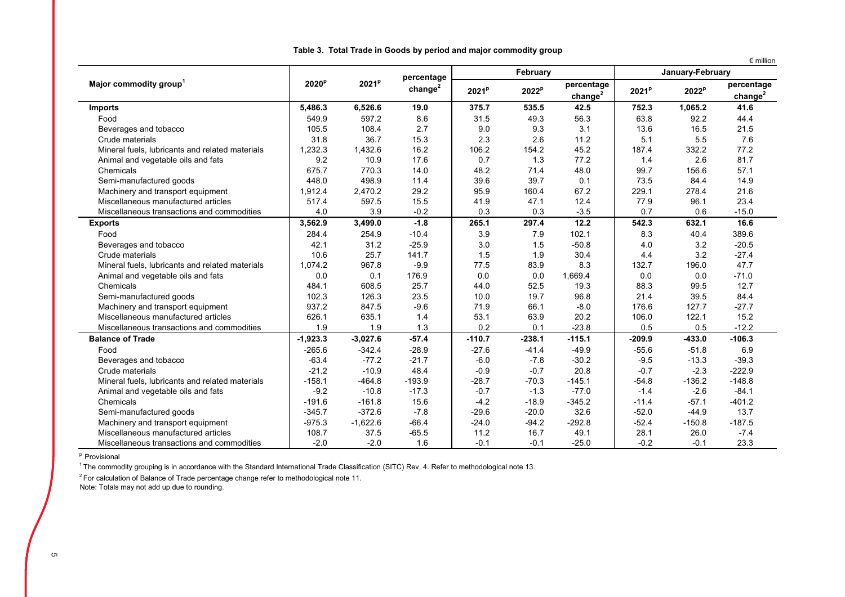|                                                 |                   |                   |                                   |                   | February          |                         | $\epsilon$ million<br>January-February |          |                         |  |
|-------------------------------------------------|-------------------|-------------------|-----------------------------------|-------------------|-------------------|-------------------------|----------------------------------------|----------|-------------------------|--|
| Major commodity group <sup>1</sup>              | 2020 <sup>p</sup> | 2021 <sup>p</sup> | percentage<br>change <sup>2</sup> | 2021 <sup>p</sup> | 2022 <sup>p</sup> | percentage<br>$change2$ | 2021 <sup>p</sup>                      | $2022^p$ | percentage<br>$change2$ |  |
| <b>Imports</b>                                  | 5,486.3           | 6,526.6           | 19.0                              | 375.7             | 535.5             | 42.5                    | 752.3                                  | 1,065.2  | 41.6                    |  |
| Food                                            | 549.9             | 597.2             | 8.6                               | 31.5              | 49.3              | 56.3                    | 63.8                                   | 92.2     | 44.4                    |  |
| Beverages and tobacco                           | 105.5             | 108.4             | 2.7                               | 9.0               | 9.3               | 3.1                     | 13.6                                   | 16.5     | 21.5                    |  |
| Crude materials                                 | 31.8              | 36.7              | 15.3                              | 2.3               | 2.6               | 11.2                    | 5.1                                    | 5.5      | 7.6                     |  |
| Mineral fuels, lubricants and related materials | 1,232.3           | 1,432.6           | 16.2                              | 106.2             | 154.2             | 45.2                    | 187.4                                  | 332.2    | 77.2                    |  |
| Animal and vegetable oils and fats              | 9.2               | 10.9              | 17.6                              | 0.7               | 1.3               | 77.2                    | 1.4                                    | 2.6      | 81.7                    |  |
| Chemicals                                       | 675.7             | 770.3             | 14.0                              | 48.2              | 71.4              | 48.0                    | 99.7                                   | 156.6    | 57.1                    |  |
| Semi-manufactured goods                         | 448.0             | 498.9             | 11.4                              | 39.6              | 39.7              | 0.1                     | 73.5                                   | 84.4     | 14.9                    |  |
| Machinery and transport equipment               | 1,912.4           | 2,470.2           | 29.2                              | 95.9              | 160.4             | 67.2                    | 229.1                                  | 278.4    | 21.6                    |  |
| Miscellaneous manufactured articles             | 517.4             | 597.5             | 15.5                              | 41.9              | 47.1              | 12.4                    | 77.9                                   | 96.1     | 23.4                    |  |
| Miscellaneous transactions and commodities      | 4.0               | 3.9               | $-0.2$                            | 0.3               | 0.3               | $-3.5$                  | 0.7                                    | 0.6      | $-15.0$                 |  |
| <b>Exports</b>                                  | 3,562.9           | 3,499.0           | $-1.8$                            | 265.1             | 297.4             | 12.2                    | 542.3                                  | 632.1    | 16.6                    |  |
| Food                                            | 284.4             | 254.9             | $-10.4$                           | 3.9               | 7.9               | 102.1                   | 8.3                                    | 40.4     | 389.6                   |  |
| Beverages and tobacco                           | 42.1              | 31.2              | $-25.9$                           | 3.0               | 1.5               | $-50.8$                 | 4.0                                    | 3.2      | $-20.5$                 |  |
| Crude materials                                 | 10.6              | 25.7              | 141.7                             | 1.5               | 1.9               | 30.4                    | 4.4                                    | 3.2      | $-27.4$                 |  |
| Mineral fuels, lubricants and related materials | 1,074.2           | 967.8             | $-9.9$                            | 77.5              | 83.9              | 8.3                     | 132.7                                  | 196.0    | 47.7                    |  |
| Animal and vegetable oils and fats              | 0.0               | 0.1               | 176.9                             | 0.0               | 0.0               | 1,669.4                 | 0.0                                    | 0.0      | $-71.0$                 |  |
| Chemicals                                       | 484.1             | 608.5             | 25.7                              | 44.0              | 52.5              | 19.3                    | 88.3                                   | 99.5     | 12.7                    |  |
| Semi-manufactured goods                         | 102.3             | 126.3             | 23.5                              | 10.0              | 19.7              | 96.8                    | 21.4                                   | 39.5     | 84.4                    |  |
| Machinery and transport equipment               | 937.2             | 847.5             | $-9.6$                            | 71.9              | 66.1              | $-8.0$                  | 176.6                                  | 127.7    | $-27.7$                 |  |
| Miscellaneous manufactured articles             | 626.1             | 635.1             | 1.4                               | 53.1              | 63.9              | 20.2                    | 106.0                                  | 122.1    | 15.2                    |  |
| Miscellaneous transactions and commodities      | 1.9               | 1.9               | 1.3                               | 0.2               | 0.1               | $-23.8$                 | 0.5                                    | 0.5      | $-12.2$                 |  |
| <b>Balance of Trade</b>                         | $-1,923.3$        | $-3,027.6$        | $-57.4$                           | $-110.7$          | $-238.1$          | $-115.1$                | $-209.9$                               | $-433.0$ | $-106.3$                |  |
| Food                                            | $-265.6$          | $-342.4$          | $-28.9$                           | $-27.6$           | $-41.4$           | $-49.9$                 | $-55.6$                                | $-51.8$  | 6.9                     |  |
| Beverages and tobacco                           | $-63.4$           | $-77.2$           | $-21.7$                           | $-6.0$            | $-7.8$            | $-30.2$                 | $-9.5$                                 | $-13.3$  | $-39.3$                 |  |
| Crude materials                                 | $-21.2$           | $-10.9$           | 48.4                              | $-0.9$            | $-0.7$            | 20.8                    | $-0.7$                                 | $-2.3$   | $-222.9$                |  |
| Mineral fuels, lubricants and related materials | $-158.1$          | $-464.8$          | $-193.9$                          | $-28.7$           | $-70.3$           | $-145.1$                | $-54.8$                                | $-136.2$ | $-148.8$                |  |
| Animal and vegetable oils and fats              | $-9.2$            | $-10.8$           | $-17.3$                           | $-0.7$            | $-1.3$            | $-77.0$                 | $-1.4$                                 | $-2.6$   | $-84.1$                 |  |
| Chemicals                                       | $-191.6$          | $-161.8$          | 15.6                              | $-4.2$            | $-18.9$           | $-345.2$                | $-11.4$                                | $-57.1$  | $-401.2$                |  |
| Semi-manufactured goods                         | $-345.7$          | $-372.6$          | $-7.8$                            | $-29.6$           | $-20.0$           | 32.6                    | $-52.0$                                | $-44.9$  | 13.7                    |  |
| Machinery and transport equipment               | $-975.3$          | $-1,622.6$        | $-66.4$                           | $-24.0$           | $-94.2$           | $-292.8$                | $-52.4$                                | $-150.8$ | $-187.5$                |  |
| Miscellaneous manufactured articles             | 108.7             | 37.5              | $-65.5$                           | 11.2              | 16.7              | 49.1                    | 28.1                                   | 26.0     | $-7.4$                  |  |
| Miscellaneous transactions and commodities      | $-2.0$            | $-2.0$            | 1.6                               | $-0.1$            | $-0.1$            | $-25.0$                 | $-0.2$                                 | $-0.1$   | 23.3                    |  |

**Table 3. Total Trade in Goods by period and major commodity group**

<sup>p</sup> Provisional

 $1$  The commodity grouping is in accordance with the Standard International Trade Classification (SITC) Rev. 4. Refer to methodological note 13.

<sup>2</sup> For calculation of Balance of Trade percentage change refer to methodological note 11.

Note: Totals may not add up due to rounding.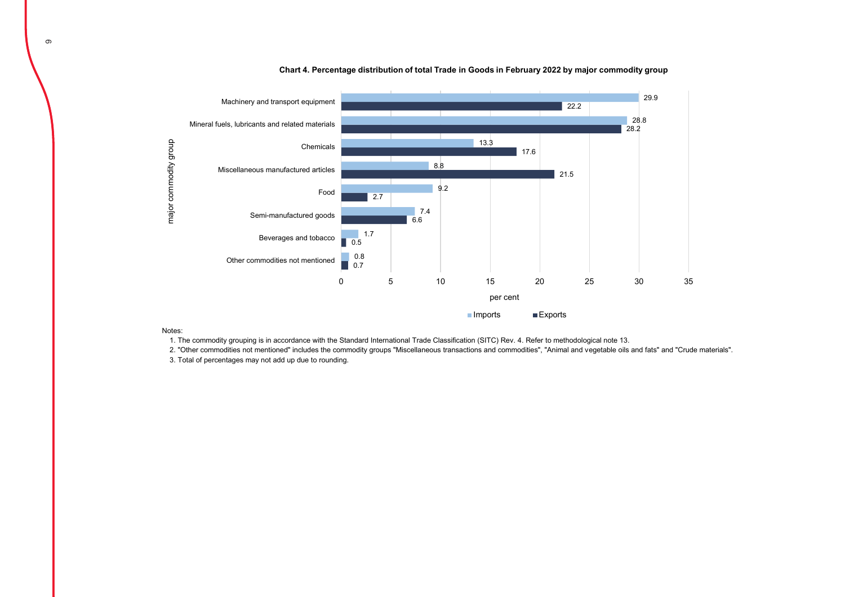

**Chart 4. Percentage distribution of total Trade in Goods in February 2022 by major commodity group**

Notes:

1. The commodity grouping is in accordance with the Standard International Trade Classification (SITC) Rev. 4. Refer to methodological note 13.

2. "Other commodities not mentioned" includes the commodity groups "Miscellaneous transactions and commodities", "Animal and vegetable oils and fats" and "Crude materials".

3. Total of percentages may not add up due to rounding.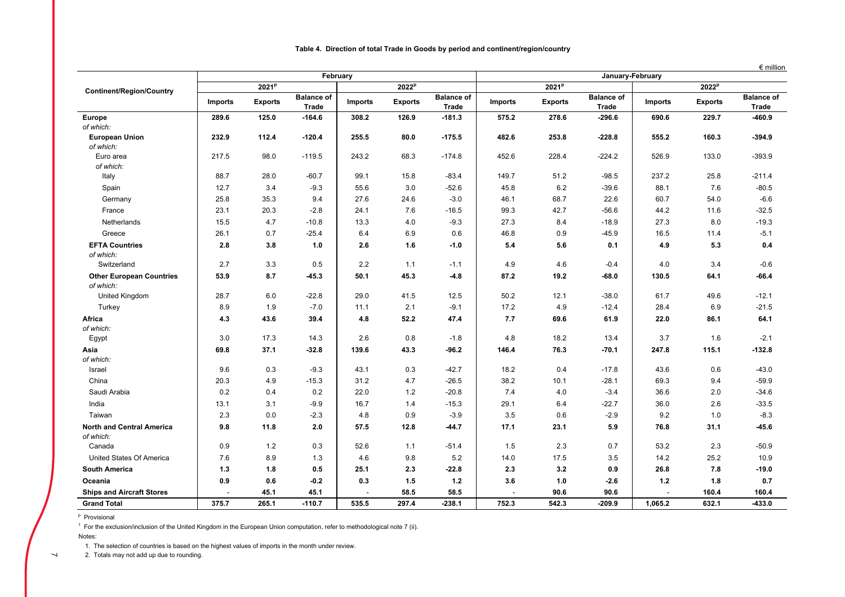|  | Table 4.  Direction of total Trade in Goods by period and continent/region/country |  |  |  |  |  |  |  |  |
|--|------------------------------------------------------------------------------------|--|--|--|--|--|--|--|--|
|--|------------------------------------------------------------------------------------|--|--|--|--|--|--|--|--|

 $\epsilon$  million

|                                  |                |                   | February                   |                          |                   |                            | January-February |                   |                            |                          |                   |                                   |  |
|----------------------------------|----------------|-------------------|----------------------------|--------------------------|-------------------|----------------------------|------------------|-------------------|----------------------------|--------------------------|-------------------|-----------------------------------|--|
| <b>Continent/Region/Country</b>  |                | 2021 <sup>p</sup> |                            |                          | 2022 <sup>p</sup> |                            |                  | 2021 <sup>p</sup> |                            |                          | 2022 <sup>p</sup> |                                   |  |
|                                  | <b>Imports</b> | <b>Exports</b>    | <b>Balance of</b><br>Trade | <b>Imports</b>           | <b>Exports</b>    | <b>Balance of</b><br>Trade | <b>Imports</b>   | <b>Exports</b>    | <b>Balance of</b><br>Trade | <b>Imports</b>           | <b>Exports</b>    | <b>Balance of</b><br><b>Trade</b> |  |
| <b>Europe</b>                    | 289.6          | 125.0             | $-164.6$                   | 308.2                    | 126.9             | $-181.3$                   | 575.2            | 278.6             | $-296.6$                   | 690.6                    | 229.7             | -460.9                            |  |
| of which:                        |                |                   |                            |                          |                   |                            |                  |                   |                            |                          |                   |                                   |  |
| <b>European Union</b>            | 232.9          | 112.4             | $-120.4$                   | 255.5                    | 80.0              | $-175.5$                   | 482.6            | 253.8             | $-228.8$                   | 555.2                    | 160.3             | $-394.9$                          |  |
| of which:                        |                |                   |                            |                          |                   |                            |                  |                   |                            |                          |                   |                                   |  |
| Euro area                        | 217.5          | 98.0              | $-119.5$                   | 243.2                    | 68.3              | $-174.8$                   | 452.6            | 228.4             | $-224.2$                   | 526.9                    | 133.0             | $-393.9$                          |  |
| of which:                        |                |                   |                            |                          |                   |                            |                  |                   |                            |                          |                   |                                   |  |
| Italy                            | 88.7           | 28.0              | $-60.7$                    | 99.1                     | 15.8              | $-83.4$                    | 149.7            | 51.2              | $-98.5$                    | 237.2                    | 25.8              | $-211.4$                          |  |
| Spain                            | 12.7           | 3.4               | $-9.3$                     | 55.6                     | 3.0               | $-52.6$                    | 45.8             | 6.2               | $-39.6$                    | 88.1                     | 7.6               | $-80.5$                           |  |
| Germany                          | 25.8           | 35.3              | 9.4                        | 27.6                     | 24.6              | $-3.0$                     | 46.1             | 68.7              | 22.6                       | 60.7                     | 54.0              | $-6.6$                            |  |
| France                           | 23.1           | 20.3              | $-2.8$                     | 24.1                     | 7.6               | $-16.5$                    | 99.3             | 42.7              | $-56.6$                    | 44.2                     | 11.6              | $-32.5$                           |  |
| Netherlands                      | 15.5           | 4.7               | $-10.8$                    | 13.3                     | 4.0               | $-9.3$                     | 27.3             | 8.4               | $-18.9$                    | 27.3                     | 8.0               | $-19.3$                           |  |
| Greece                           | 26.1           | 0.7               | $-25.4$                    | 6.4                      | 6.9               | 0.6                        | 46.8             | 0.9               | $-45.9$                    | 16.5                     | 11.4              | $-5.1$                            |  |
| <b>EFTA Countries</b>            | 2.8            | 3.8               | 1.0                        | 2.6                      | 1.6               | $-1.0$                     | 5.4              | 5.6               | 0.1                        | 4.9                      | 5.3               | 0.4                               |  |
| of which:                        |                |                   |                            |                          |                   |                            |                  |                   |                            |                          |                   |                                   |  |
| Switzerland                      | 2.7            | 3.3               | 0.5                        | 2.2                      | 1.1               | $-1.1$                     | 4.9              | 4.6               | $-0.4$                     | 4.0                      | 3.4               | $-0.6$                            |  |
| <b>Other European Countries</b>  | 53.9           | 8.7               | $-45.3$                    | 50.1                     | 45.3              | $-4.8$                     | 87.2             | 19.2              | $-68.0$                    | 130.5                    | 64.1              | -66.4                             |  |
| of which:                        |                |                   |                            |                          |                   |                            |                  |                   |                            |                          |                   |                                   |  |
| United Kingdom                   | 28.7           | 6.0               | $-22.8$                    | 29.0                     | 41.5              | 12.5                       | 50.2             | 12.1              | $-38.0$                    | 61.7                     | 49.6              | $-12.1$                           |  |
| Turkey                           | 8.9            | 1.9               | $-7.0$                     | 11.1                     | 2.1               | $-9.1$                     | 17.2             | 4.9               | $-12.4$                    | 28.4                     | 6.9               | $-21.5$                           |  |
| Africa                           | 4.3            | 43.6              | 39.4                       | 4.8                      | 52.2              | 47.4                       | 7.7              | 69.6              | 61.9                       | 22.0                     | 86.1              | 64.1                              |  |
| of which:                        |                |                   |                            |                          |                   |                            |                  |                   |                            |                          |                   |                                   |  |
| Egypt                            | 3.0            | 17.3              | 14.3                       | 2.6                      | 0.8               | $-1.8$                     | 4.8              | 18.2              | 13.4                       | 3.7                      | 1.6               | $-2.1$                            |  |
| Asia                             | 69.8           | 37.1              | $-32.8$                    | 139.6                    | 43.3              | $-96.2$                    | 146.4            | 76.3              | $-70.1$                    | 247.8                    | 115.1             | $-132.8$                          |  |
| of which:                        |                |                   |                            |                          |                   |                            |                  |                   |                            |                          |                   |                                   |  |
| Israel                           | 9.6            | 0.3               | $-9.3$                     | 43.1                     | 0.3               | $-42.7$                    | 18.2             | 0.4               | $-17.8$                    | 43.6                     | 0.6               | $-43.0$                           |  |
| China                            | 20.3           | 4.9               | $-15.3$                    | 31.2                     | 4.7               | $-26.5$                    | 38.2             | 10.1              | $-28.1$                    | 69.3                     | 9.4               | $-59.9$                           |  |
| Saudi Arabia                     | 0.2            | 0.4               | 0.2                        | 22.0                     | 1.2               | $-20.8$                    | 7.4              | 4.0               | $-3.4$                     | 36.6                     | 2.0               | $-34.6$                           |  |
| India                            | 13.1           | 3.1               | $-9.9$                     | 16.7                     | 1.4               | $-15.3$                    | 29.1             | 6.4               | $-22.7$                    | 36.0                     | 2.6               | $-33.5$                           |  |
| Taiwan                           | 2.3            | 0.0               | $-2.3$                     | 4.8                      | 0.9               | $-3.9$                     | 3.5              | 0.6               | $-2.9$                     | 9.2                      | 1.0               | $-8.3$                            |  |
| <b>North and Central America</b> | 9.8            | 11.8              | 2.0                        | 57.5                     | 12.8              | $-44.7$                    | 17.1             | 23.1              | 5.9                        | 76.8                     | 31.1              | -45.6                             |  |
| of which:                        |                |                   |                            |                          |                   |                            |                  |                   |                            |                          |                   |                                   |  |
| Canada                           | 0.9            | 1.2               | 0.3                        | 52.6                     | 1.1               | $-51.4$                    | 1.5              | 2.3               | 0.7                        | 53.2                     | 2.3               | $-50.9$                           |  |
| United States Of America         | 7.6            | 8.9               | 1.3                        | 4.6                      | 9.8               | 5.2                        | 14.0             | 17.5              | 3.5                        | 14.2                     | 25.2              | 10.9                              |  |
| <b>South America</b>             | 1.3            | 1.8               | 0.5                        | 25.1                     | 2.3               | $-22.8$                    | 2.3              | 3.2               | 0.9                        | 26.8                     | 7.8               | $-19.0$                           |  |
| Oceania                          | 0.9            | 0.6               | $-0.2$                     | 0.3                      | 1.5               | $1.2$                      | 3.6              | 1.0               | $-2.6$                     | 1.2                      | 1.8               | 0.7                               |  |
| <b>Ships and Aircraft Stores</b> |                | 45.1              | 45.1                       | $\overline{\phantom{a}}$ | 58.5              | 58.5                       |                  | 90.6              | 90.6                       | $\overline{\phantom{a}}$ | 160.4             | 160.4                             |  |
| <b>Grand Total</b>               | 375.7          | 265.1             | $-110.7$                   | 535.5                    | 297.4             | $-238.1$                   | 752.3            | 542.3             | $-209.9$                   | 1,065.2                  | 632.1             | -433.0                            |  |

<sup>p</sup> Provisional

 $1$  For the exclusion/inclusion of the United Kingdom in the European Union computation, refer to methodological note 7 (ii).

Notes:

 $\overline{\phantom{0}}$ 

1. The selection of countries is based on the highest values of imports in the month under review.

2. Totals may not add up due to rounding.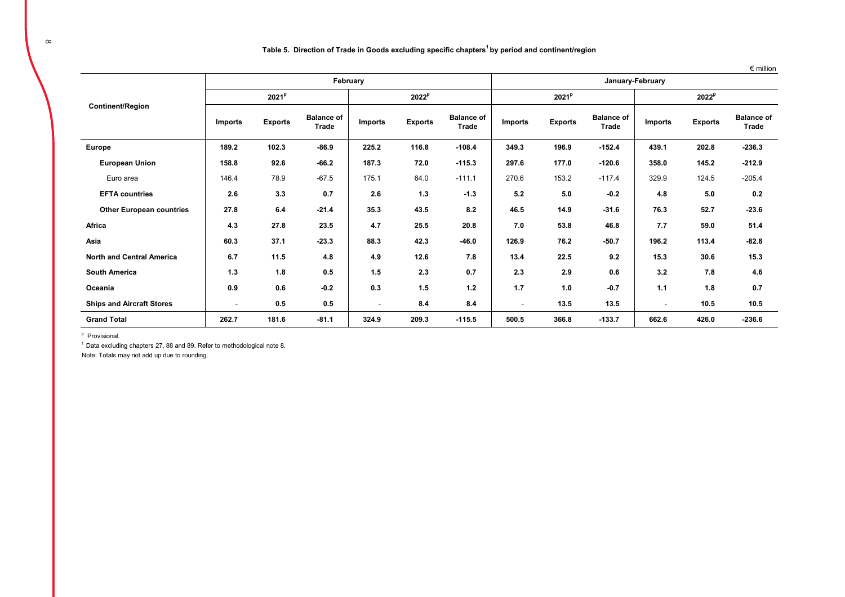#### **Table 5. Direction of Trade in Goods excluding specific chapters1 by period and continent/region**

|                                  |                          |                   |                            |                          |                   |                            |                          |                   |                            |                          |                | $\epsilon$ million         |
|----------------------------------|--------------------------|-------------------|----------------------------|--------------------------|-------------------|----------------------------|--------------------------|-------------------|----------------------------|--------------------------|----------------|----------------------------|
|                                  |                          |                   | February                   |                          |                   | January-February           |                          |                   |                            |                          |                |                            |
|                                  |                          | 2021 <sup>P</sup> |                            |                          | 2022 <sup>p</sup> |                            |                          | 2021 <sup>p</sup> |                            | 2022 <sup>p</sup>        |                |                            |
| <b>Continent/Region</b>          | <b>Imports</b>           | <b>Exports</b>    | <b>Balance of</b><br>Trade | <b>Imports</b>           | <b>Exports</b>    | <b>Balance of</b><br>Trade | <b>Imports</b>           | <b>Exports</b>    | <b>Balance of</b><br>Trade | <b>Imports</b>           | <b>Exports</b> | <b>Balance of</b><br>Trade |
| <b>Europe</b>                    | 189.2                    | 102.3             | $-86.9$                    | 225.2                    | 116.8             | $-108.4$                   | 349.3                    | 196.9             | $-152.4$                   | 439.1                    | 202.8          | $-236.3$                   |
| <b>European Union</b>            | 158.8                    | 92.6              | $-66.2$                    | 187.3                    | 72.0              | $-115.3$                   | 297.6                    | 177.0             | $-120.6$                   | 358.0                    | 145.2          | $-212.9$                   |
| Euro area                        | 146.4                    | 78.9              | $-67.5$                    | 175.1                    | 64.0              | $-111.1$                   | 270.6                    | 153.2             | $-117.4$                   | 329.9                    | 124.5          | $-205.4$                   |
| <b>EFTA countries</b>            | 2.6                      | 3.3               | 0.7                        | 2.6                      | 1.3               | $-1.3$                     | 5.2                      | 5.0               | $-0.2$                     | 4.8                      | 5.0            | 0.2                        |
| <b>Other European countries</b>  | 27.8                     | 6.4               | $-21.4$                    | 35.3                     | 43.5              | 8.2                        | 46.5                     | 14.9              | $-31.6$                    | 76.3                     | 52.7           | $-23.6$                    |
| Africa                           | 4.3                      | 27.8              | 23.5                       | 4.7                      | 25.5              | 20.8                       | 7.0                      | 53.8              | 46.8                       | 7.7                      | 59.0           | 51.4                       |
| Asia                             | 60.3                     | 37.1              | $-23.3$                    | 88.3                     | 42.3              | $-46.0$                    | 126.9                    | 76.2              | $-50.7$                    | 196.2                    | 113.4          | $-82.8$                    |
| <b>North and Central America</b> | 6.7                      | 11.5              | 4.8                        | 4.9                      | 12.6              | 7.8                        | 13.4                     | 22.5              | 9.2                        | 15.3                     | 30.6           | 15.3                       |
| <b>South America</b>             | 1.3                      | 1.8               | 0.5                        | 1.5                      | 2.3               | 0.7                        | 2.3                      | 2.9               | 0.6                        | 3.2                      | 7.8            | 4.6                        |
| Oceania                          | 0.9                      | 0.6               | $-0.2$                     | 0.3                      | 1.5               | 1.2                        | 1.7                      | 1.0               | $-0.7$                     | 1.1                      | 1.8            | 0.7                        |
| <b>Ships and Aircraft Stores</b> | $\overline{\phantom{a}}$ | 0.5               | 0.5                        | $\overline{\phantom{a}}$ | 8.4               | 8.4                        | $\overline{\phantom{a}}$ | 13.5              | 13.5                       | $\overline{\phantom{a}}$ | 10.5           | 10.5                       |
| <b>Grand Total</b>               | 262.7                    | 181.6             | $-81.1$                    | 324.9                    | 209.3             | $-115.5$                   | 500.5                    | 366.8             | $-133.7$                   | 662.6                    | 426.0          | $-236.6$                   |

p Provisional.

 $1$  Data excluding chapters 27, 88 and 89. Refer to methodological note 8.

Note: Totals may not add up due to rounding.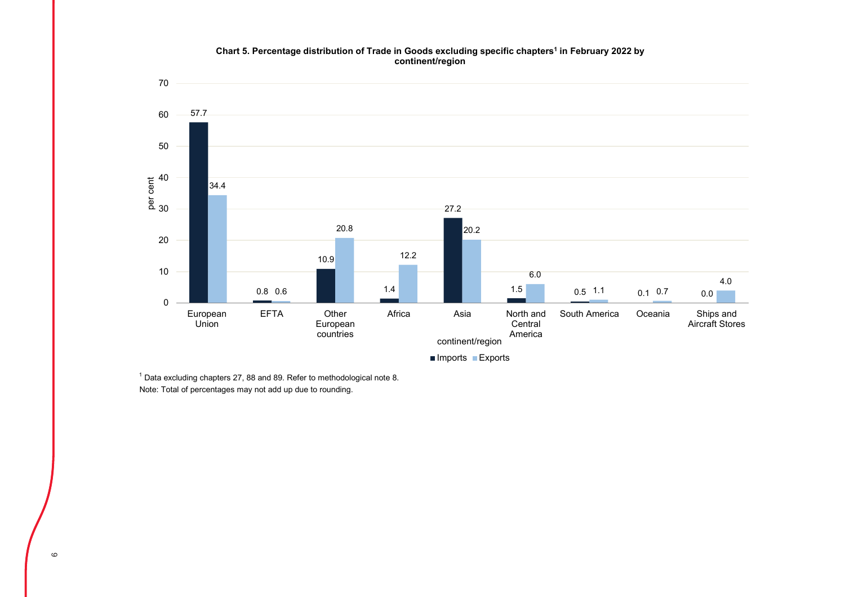#### **Chart 5. Percentage distribution of Trade in Goods excluding specific chapters1 in February 2022 by continent/region**



Note: Total of percentages may not add up due to rounding.  $1$  Data excluding chapters 27, 88 and 89. Refer to methodological note 8.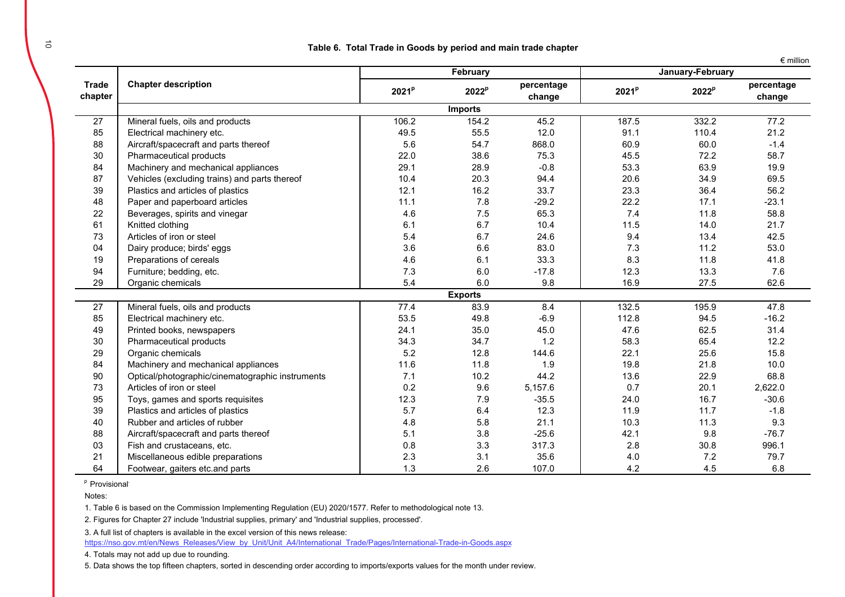|  | million |
|--|---------|
|  |         |

|                         |                                                  |                   | February          |                      | January-February  |                   |                      |  |
|-------------------------|--------------------------------------------------|-------------------|-------------------|----------------------|-------------------|-------------------|----------------------|--|
| <b>Trade</b><br>chapter | <b>Chapter description</b>                       | 2021 <sup>p</sup> | 2022 <sup>p</sup> | percentage<br>change | 2021 <sup>p</sup> | 2022 <sup>p</sup> | percentage<br>change |  |
|                         |                                                  |                   | <b>Imports</b>    |                      |                   |                   |                      |  |
| $\overline{27}$         | Mineral fuels, oils and products                 | 106.2             | 154.2             | 45.2                 | 187.5             | 332.2             | 77.2                 |  |
| 85                      | Electrical machinery etc.                        | 49.5              | 55.5              | 12.0                 | 91.1              | 110.4             | 21.2                 |  |
| 88                      | Aircraft/spacecraft and parts thereof            | 5.6               | 54.7              | 868.0                | 60.9              | 60.0              | $-1.4$               |  |
| 30                      | Pharmaceutical products                          | 22.0              | 38.6              | 75.3                 | 45.5              | 72.2              | 58.7                 |  |
| 84                      | Machinery and mechanical appliances              | 29.1              | 28.9              | $-0.8$               | 53.3              | 63.9              | 19.9                 |  |
| 87                      | Vehicles (excluding trains) and parts thereof    | 10.4              | 20.3              | 94.4                 | 20.6              | 34.9              | 69.5                 |  |
| 39                      | Plastics and articles of plastics                | 12.1              | 16.2              | 33.7                 | 23.3              | 36.4              | 56.2                 |  |
| 48                      | Paper and paperboard articles                    | 11.1              | 7.8               | $-29.2$              | 22.2              | 17.1              | $-23.1$              |  |
| 22                      | Beverages, spirits and vinegar                   | 4.6               | 7.5               | 65.3                 | 7.4               | 11.8              | 58.8                 |  |
| 61                      | Knitted clothing                                 | 6.1               | 6.7               | 10.4                 | 11.5              | 14.0              | 21.7                 |  |
| 73                      | Articles of iron or steel                        | 5.4               | 6.7               | 24.6                 | 9.4               | 13.4              | 42.5                 |  |
| 04                      | Dairy produce; birds' eggs                       | 3.6               | 6.6               | 83.0                 | 7.3               | 11.2              | 53.0                 |  |
| 19                      | Preparations of cereals                          | 4.6               | 6.1               | 33.3                 | 8.3               | 11.8              | 41.8                 |  |
| 94                      | Furniture; bedding, etc.                         | 7.3               | 6.0               | $-17.8$              | 12.3              | 13.3              | 7.6                  |  |
| 29                      | Organic chemicals                                | 5.4               | 6.0               | 9.8                  | 16.9              | 27.5              | 62.6                 |  |
|                         |                                                  |                   | <b>Exports</b>    |                      |                   |                   |                      |  |
| 27                      | Mineral fuels, oils and products                 | 77.4              | 83.9              | 8.4                  | 132.5             | 195.9             | 47.8                 |  |
| 85                      | Electrical machinery etc.                        | 53.5              | 49.8              | $-6.9$               | 112.8             | 94.5              | $-16.2$              |  |
| 49                      | Printed books, newspapers                        | 24.1              | 35.0              | 45.0                 | 47.6              | 62.5              | 31.4                 |  |
| 30                      | Pharmaceutical products                          | 34.3              | 34.7              | 1.2                  | 58.3              | 65.4              | 12.2                 |  |
| 29                      | Organic chemicals                                | 5.2               | 12.8              | 144.6                | 22.1              | 25.6              | 15.8                 |  |
| 84                      | Machinery and mechanical appliances              | 11.6              | 11.8              | 1.9                  | 19.8              | 21.8              | 10.0                 |  |
| 90                      | Optical/photographic/cinematographic instruments | 7.1               | 10.2              | 44.2                 | 13.6              | 22.9              | 68.8                 |  |
| 73                      | Articles of iron or steel                        | 0.2               | 9.6               | 5,157.6              | 0.7               | 20.1              | 2,622.0              |  |
| 95                      | Toys, games and sports requisites                | 12.3              | 7.9               | $-35.5$              | 24.0              | 16.7              | $-30.6$              |  |
| 39                      | Plastics and articles of plastics                | 5.7               | 6.4               | 12.3                 | 11.9              | 11.7              | $-1.8$               |  |
| 40                      | Rubber and articles of rubber                    | 4.8               | 5.8               | 21.1                 | 10.3              | 11.3              | 9.3                  |  |
| 88                      | Aircraft/spacecraft and parts thereof            | 5.1               | 3.8               | $-25.6$              | 42.1              | 9.8               | $-76.7$              |  |
| 03                      | Fish and crustaceans, etc.                       | 0.8               | 3.3               | 317.3                | 2.8               | 30.8              | 996.1                |  |
| 21                      | Miscellaneous edible preparations                | 2.3               | 3.1               | 35.6                 | 4.0               | 7.2               | 79.7                 |  |
| 64                      | Footwear, gaiters etc.and parts                  | 1.3               | 2.6               | 107.0                | 4.2               | 4.5               | 6.8                  |  |

<sup>p</sup> Provisional<sup>.</sup>

Notes:

1. Table 6 is based on the Commission Implementing Regulation (EU) 2020/1577. Refer to methodological note 13.

2. Figures for Chapter 27 include 'Industrial supplies, primary' and 'Industrial supplies, processed'.

3. A full list of chapters is available in the excel version of this news release:

https://nso.gov.mt/en/News\_Releases/View\_by\_Unit/Unit\_A4/International\_Trade/Pages/International-Trade-in-Goods.aspx

4. Totals may not add up due to rounding.

5. Data shows the top fifteen chapters, sorted in descending order according to imports/exports values for the month under review.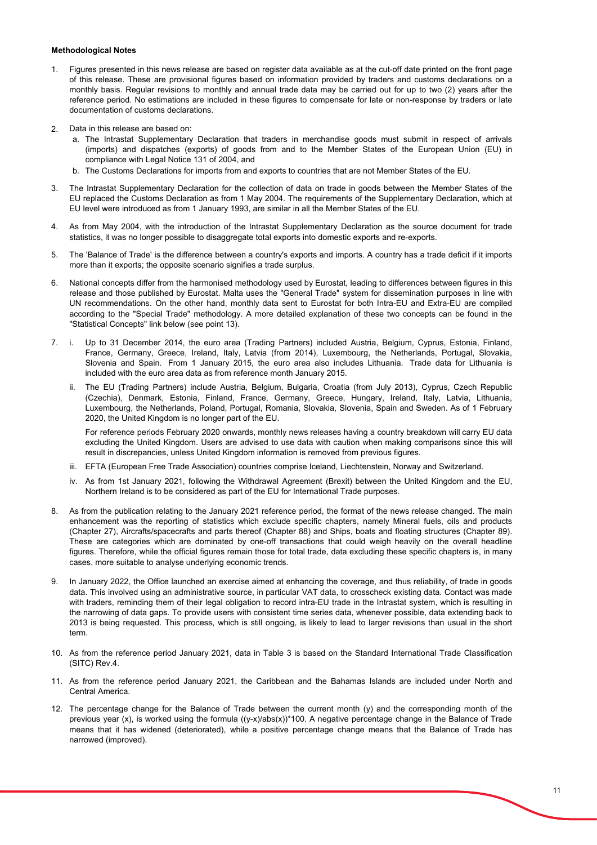#### **Methodological Notes**

- 1. Figures presented in this news release are based on register data available as at the cut-off date printed on the front page of this release. These are provisional figures based on information provided by traders and customs declarations on a monthly basis. Regular revisions to monthly and annual trade data may be carried out for up to two (2) years after the reference period. No estimations are included in these figures to compensate for late or non-response by traders or late documentation of customs declarations.
- 2. Data in this release are based on:
	- a. The Intrastat Supplementary Declaration that traders in merchandise goods must submit in respect of arrivals (imports) and dispatches (exports) of goods from and to the Member States of the European Union (EU) in compliance with Legal Notice 131 of 2004, and
	- b. The Customs Declarations for imports from and exports to countries that are not Member States of the EU.
- 3. The Intrastat Supplementary Declaration for the collection of data on trade in goods between the Member States of the EU replaced the Customs Declaration as from 1 May 2004. The requirements of the Supplementary Declaration, which at EU level were introduced as from 1 January 1993, are similar in all the Member States of the EU.
- 4. As from May 2004, with the introduction of the Intrastat Supplementary Declaration as the source document for trade statistics, it was no longer possible to disaggregate total exports into domestic exports and re-exports.
- 5. The 'Balance of Trade' is the difference between a country's exports and imports. A country has a trade deficit if it imports more than it exports; the opposite scenario signifies a trade surplus.
- 6. National concepts differ from the harmonised methodology used by Eurostat, leading to differences between figures in this release and those published by Eurostat. Malta uses the "General Trade" system for dissemination purposes in line with UN recommendations. On the other hand, monthly data sent to Eurostat for both Intra-EU and Extra-EU are compiled according to the "Special Trade" methodology. A more detailed explanation of these two concepts can be found in the "Statistical Concepts" link below (see point 13).
- 7. i. Up to 31 December 2014, the euro area (Trading Partners) included Austria, Belgium, Cyprus, Estonia, Finland, France, Germany, Greece, Ireland, Italy, Latvia (from 2014), Luxembourg, the Netherlands, Portugal, Slovakia, Slovenia and Spain. From 1 January 2015, the euro area also includes Lithuania. Trade data for Lithuania is included with the euro area data as from reference month January 2015.
	- ii. The EU (Trading Partners) include Austria, Belgium, Bulgaria, Croatia (from July 2013), Cyprus, Czech Republic (Czechia), Denmark, Estonia, Finland, France, Germany, Greece, Hungary, Ireland, Italy, Latvia, Lithuania, Luxembourg, the Netherlands, Poland, Portugal, Romania, Slovakia, Slovenia, Spain and Sweden. As of 1 February 2020, the United Kingdom is no longer part of the EU.

For reference periods February 2020 onwards, monthly news releases having a country breakdown will carry EU data excluding the United Kingdom. Users are advised to use data with caution when making comparisons since this will result in discrepancies, unless United Kingdom information is removed from previous figures.

- iii. EFTA (European Free Trade Association) countries comprise Iceland, Liechtenstein, Norway and Switzerland.
- iv. As from 1st January 2021, following the Withdrawal Agreement (Brexit) between the United Kingdom and the EU, Northern Ireland is to be considered as part of the EU for International Trade purposes.
- 8. As from the publication relating to the January 2021 reference period, the format of the news release changed. The main enhancement was the reporting of statistics which exclude specific chapters, namely Mineral fuels, oils and products (Chapter 27), Aircrafts/spacecrafts and parts thereof (Chapter 88) and Ships, boats and floating structures (Chapter 89). These are categories which are dominated by one-off transactions that could weigh heavily on the overall headline figures. Therefore, while the official figures remain those for total trade, data excluding these specific chapters is, in many cases, more suitable to analyse underlying economic trends.
- 9. In January 2022, the Office launched an exercise aimed at enhancing the coverage, and thus reliability, of trade in goods data. This involved using an administrative source, in particular VAT data, to crosscheck existing data. Contact was made with traders, reminding them of their legal obligation to record intra-EU trade in the Intrastat system, which is resulting in the narrowing of data gaps. To provide users with consistent time series data, whenever possible, data extending back to 2013 is being requested. This process, which is still ongoing, is likely to lead to larger revisions than usual in the short term.
- 10. As from the reference period January 2021, data in Table 3 is based on the Standard International Trade Classification (SITC) Rev.4.
- 11. As from the reference period January 2021, the Caribbean and the Bahamas Islands are included under North and Central America.
- 12. The percentage change for the Balance of Trade between the current month (y) and the corresponding month of the previous year (x), is worked using the formula ((y-x)/abs(x))\*100. A negative percentage change in the Balance of Trade means that it has widened (deteriorated), while a positive percentage change means that the Balance of Trade has narrowed (improved).